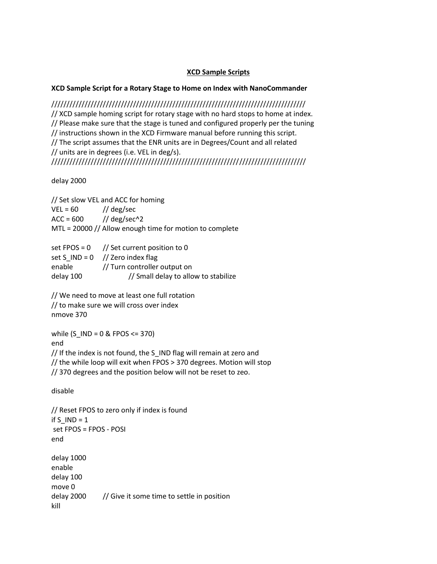## **XCD Sample Scripts**

## **XCD Sample Script for a Rotary Stage to Home on Index with NanoCommander**

//////////////////////////////////////////////////////////////////////////////////// // XCD sample homing script for rotary stage with no hard stops to home at index. // Please make sure that the stage is tuned and configured properly per the tuning // instructions shown in the XCD Firmware manual before running this script. // The script assumes that the ENR units are in Degrees/Count and all related // units are in degrees (i.e. VEL in deg/s). ////////////////////////////////////////////////////////////////////////////////////

delay 2000

// Set slow VEL and ACC for homing  $VEL = 60$  // deg/sec  $ACC = 600$  // deg/sec^2 MTL = 20000 // Allow enough time for motion to complete

|           | set FPOS = $0$ // Set current position to 0 |
|-----------|---------------------------------------------|
|           | set S $IND = 0$ // Zero index flag          |
| enable    | // Turn controller output on                |
| delay 100 | // Small delay to allow to stabilize        |

// We need to move at least one full rotation // to make sure we will cross over index nmove 370

while (S  $IND = 0$  & FPOS <= 370) end // If the index is not found, the S\_IND flag will remain at zero and // the while loop will exit when FPOS > 370 degrees. Motion will stop // 370 degrees and the position below will not be reset to zeo.

disable

// Reset FPOS to zero only if index is found if  $S$  IND = 1 set FPOS = FPOS - POSI end delay 1000 enable delay 100 move 0 delay 2000 // Give it some time to settle in position kill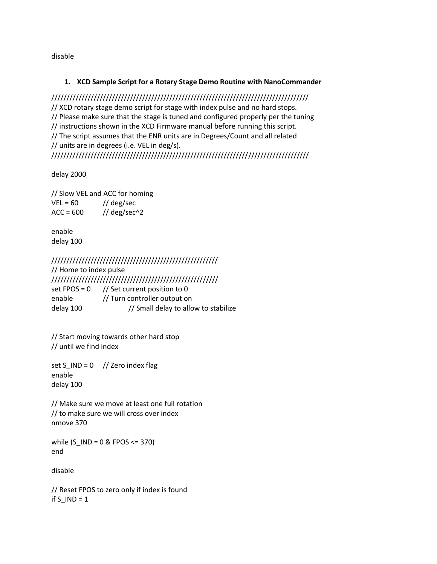disable

## **1. XCD Sample Script for a Rotary Stage Demo Routine with NanoCommander**

///////////////////////////////////////////////////////////////////////////////////// // XCD rotary stage demo script for stage with index pulse and no hard stops. // Please make sure that the stage is tuned and configured properly per the tuning // instructions shown in the XCD Firmware manual before running this script. // The script assumes that the ENR units are in Degrees/Count and all related // units are in degrees (i.e. VEL in deg/s). /////////////////////////////////////////////////////////////////////////////////////

delay 2000

// Slow VEL and ACC for homing  $VEL = 60$  // deg/sec  $ACC = 600$  // deg/sec^2

enable delay 100

///////////////////////////////////////////////////////

// Home to index pulse /////////////////////////////////////////////////////// set FPOS =  $0$  // Set current position to 0 enable // Turn controller output on delay 100 // Small delay to allow to stabilize

// Start moving towards other hard stop // until we find index

set S\_IND =  $0$  // Zero index flag enable delay 100

// Make sure we move at least one full rotation // to make sure we will cross over index nmove 370

while  $(S$  IND = 0 & FPOS <= 370) end

disable

// Reset FPOS to zero only if index is found if  $S$ <sub>IND</sub> = 1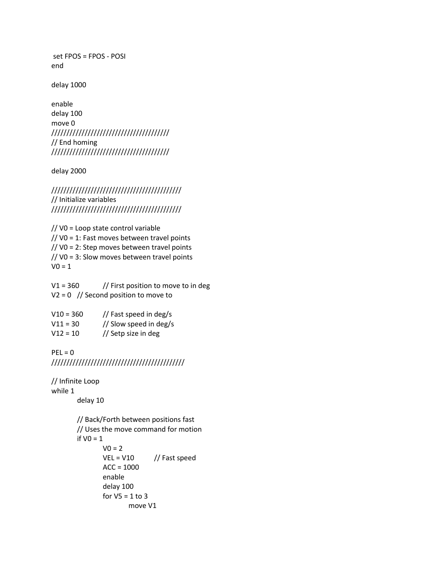set FPOS = FPOS - POSI end

delay 1000

enable delay 100 move 0 /////////////////////////////////////// // End homing ///////////////////////////////////////

delay 2000

/////////////////////////////////////////// // Initialize variables ///////////////////////////////////////////

// V0 = Loop state control variable // V0 = 1: Fast moves between travel points // V0 = 2: Step moves between travel points // V0 = 3: Slow moves between travel points  $V0 = 1$ 

 $V1 = 360$  // First position to move to in deg  $V2 = 0$  // Second position to move to

| $V10 = 360$ | // Fast speed in deg/s |
|-------------|------------------------|
| $V11 = 30$  | // Slow speed in deg/s |
| $V12 = 10$  | // Setp size in deg    |

```
PEL = 0////////////////////////////////////////////
```

```
// Infinite Loop
while 1
       delay 10
       // Back/Forth between positions fast
       // Uses the move command for motion
       if VO = 1V_0 = 2VEL = V10 // Fast speed
              ACC = 1000enable
              delay 100
              for V5 = 1 to 3
                      move V1
```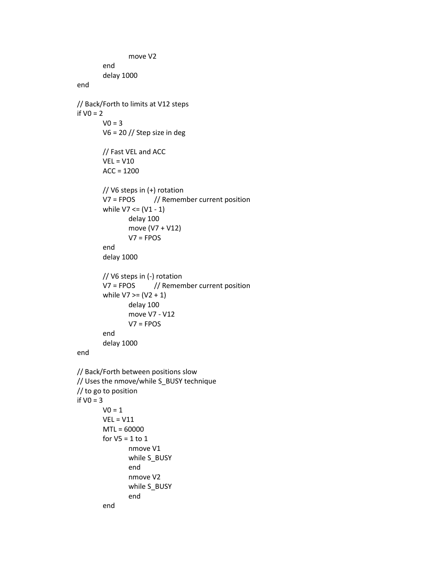```
move V2
       end
       delay 1000
end
// Back/Forth to limits at V12 steps
if VO = 2V = 3V6 = 20 // Step size in deg
       // Fast VEL and ACC
       VEL = V10ACC = 1200// V6 steps in (+) rotation
       V7 = FPOS // Remember current position
       while V7 \leq (V1 - 1)delay 100
               move (V7 + V12)
               V7 = FPOS 
       end
       delay 1000
       // V6 steps in (-) rotation
       V7 = FPOS // Remember current position
       while V7 >= (V2 + 1)delay 100
               move V7 - V12
               V7 = FPOSend
       delay 1000
end
// Back/Forth between positions slow
// Uses the nmove/while S_BUSY technique
// to go to position 
if VO = 3VO = 1VEL = V11
       MTL = 60000
       for V5 = 1 to 1
               nmove V1
               while S_BUSY
               end
               nmove V2
               while S_BUSY
               end
       end
```